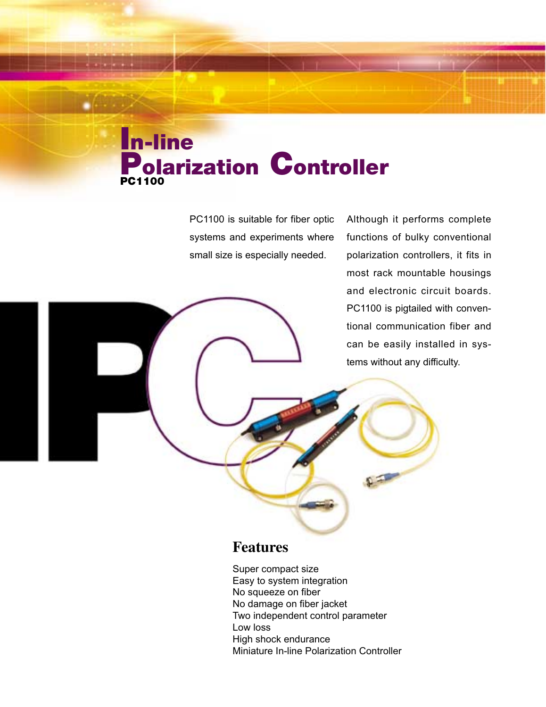# **In-line Polarization Controller PC1100**

PC1100 is suitable for fiber optic systems and experiments where small size is especially needed.

Although it performs complete functions of bulky conventional polarization controllers, it fits in most rack mountable housings and electronic circuit boards. PC1100 is pigtailed with conventional communication fiber and can be easily installed in systems without any difficulty.

### **Features**

Super compact size Easy to system integration No squeeze on fiber No damage on fiber jacket Two independent control parameter Low loss High shock endurance Miniature In-line Polarization Controller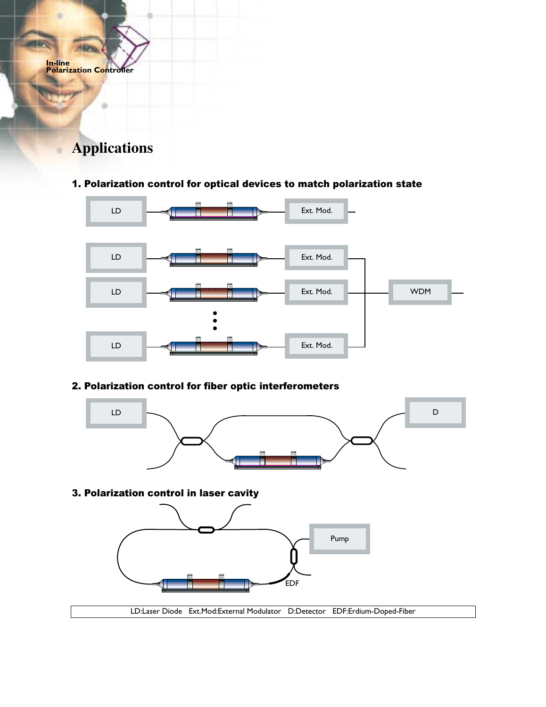

ö

## **Applications**

#### 1. Polarization control for optical devices to match polarization state



### 2. Polarization control for fiber optic interferometers



#### 3. Polarization control in laser cavity



LD:Laser Diode Ext.Mod:External Modulator D:Detector EDF:Erdium-Doped-Fiber